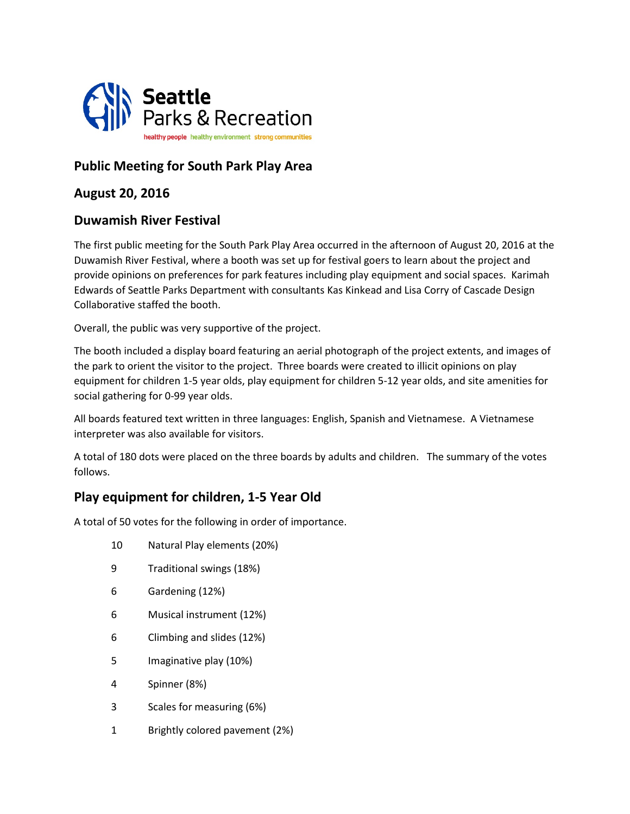

# **Public Meeting for South Park Play Area**

## **August 20, 2016**

### **Duwamish River Festival**

The first public meeting for the South Park Play Area occurred in the afternoon of August 20, 2016 at the Duwamish River Festival, where a booth was set up for festival goers to learn about the project and provide opinions on preferences for park features including play equipment and social spaces. Karimah Edwards of Seattle Parks Department with consultants Kas Kinkead and Lisa Corry of Cascade Design Collaborative staffed the booth.

Overall, the public was very supportive of the project.

The booth included a display board featuring an aerial photograph of the project extents, and images of the park to orient the visitor to the project. Three boards were created to illicit opinions on play equipment for children 1-5 year olds, play equipment for children 5-12 year olds, and site amenities for social gathering for 0-99 year olds.

All boards featured text written in three languages: English, Spanish and Vietnamese. A Vietnamese interpreter was also available for visitors.

A total of 180 dots were placed on the three boards by adults and children. The summary of the votes follows.

## **Play equipment for children, 1-5 Year Old**

A total of 50 votes for the following in order of importance.

- 10 Natural Play elements (20%)
- 9 Traditional swings (18%)
- 6 Gardening (12%)
- 6 Musical instrument (12%)
- 6 Climbing and slides (12%)
- 5 Imaginative play (10%)
- 4 Spinner (8%)
- 3 Scales for measuring (6%)
- 1 Brightly colored pavement (2%)